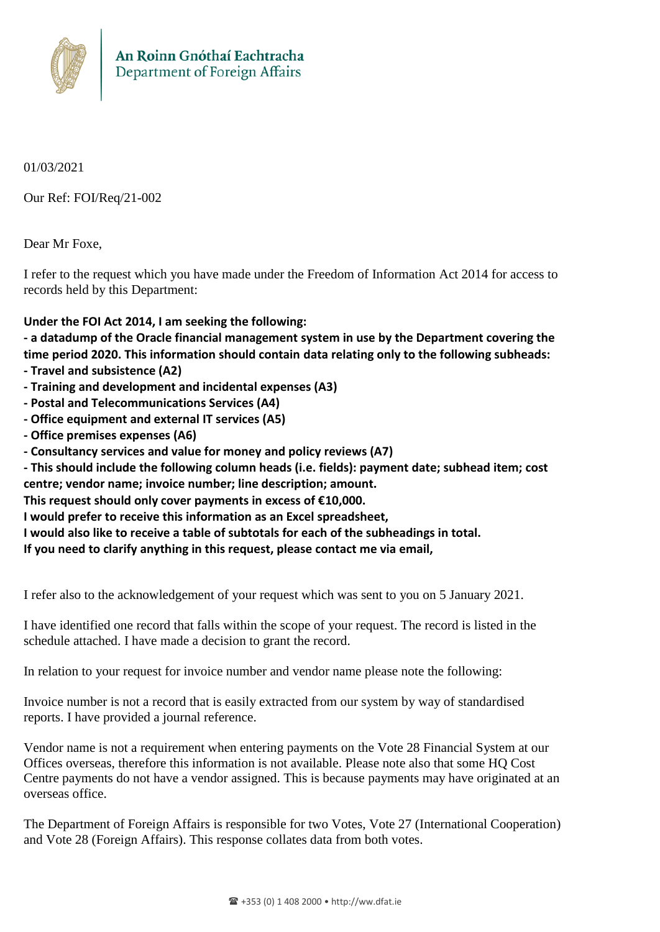

01/03/2021

Our Ref: FOI/Req/21-002

Dear Mr Foxe,

I refer to the request which you have made under the Freedom of Information Act 2014 for access to records held by this Department:

## **Under the FOI Act 2014, I am seeking the following:**

**- a datadump of the Oracle financial management system in use by the Department covering the time period 2020. This information should contain data relating only to the following subheads:**

- **- Travel and subsistence (A2)**
- **- Training and development and incidental expenses (A3)**
- **- Postal and Telecommunications Services (A4)**
- **- Office equipment and external IT services (A5)**
- **- Office premises expenses (A6)**
- **- Consultancy services and value for money and policy reviews (A7)**

**- This should include the following column heads (i.e. fields): payment date; subhead item; cost centre; vendor name; invoice number; line description; amount.**

**This request should only cover payments in excess of €10,000.**

**I would prefer to receive this information as an Excel spreadsheet,**

**I would also like to receive a table of subtotals for each of the subheadings in total.**

**If you need to clarify anything in this request, please contact me via email,**

I refer also to the acknowledgement of your request which was sent to you on 5 January 2021.

I have identified one record that falls within the scope of your request. The record is listed in the schedule attached. I have made a decision to grant the record.

In relation to your request for invoice number and vendor name please note the following:

Invoice number is not a record that is easily extracted from our system by way of standardised reports. I have provided a journal reference.

Vendor name is not a requirement when entering payments on the Vote 28 Financial System at our Offices overseas, therefore this information is not available. Please note also that some HQ Cost Centre payments do not have a vendor assigned. This is because payments may have originated at an overseas office.

The Department of Foreign Affairs is responsible for two Votes, Vote 27 (International Cooperation) and Vote 28 (Foreign Affairs). This response collates data from both votes.